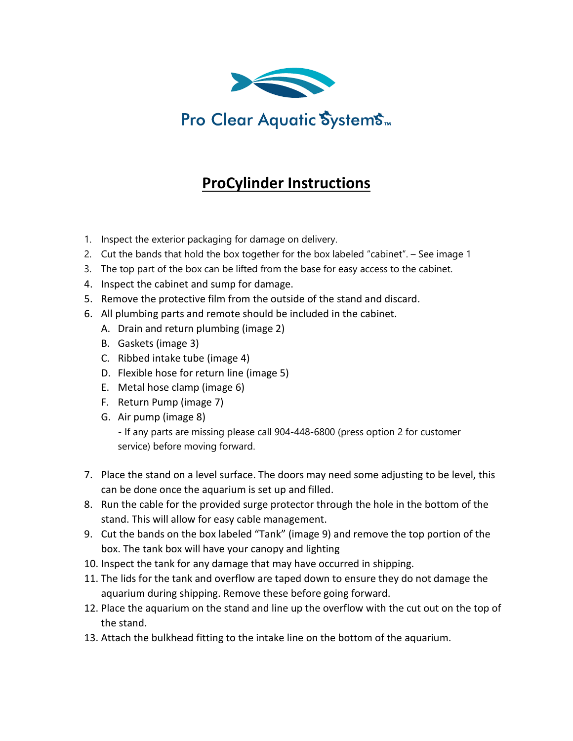

## **ProCylinder Instructions**

- 1. Inspect the exterior packaging for damage on delivery.
- 2. Cut the bands that hold the box together for the box labeled "cabinet". See image 1
- 3. The top part of the box can be lifted from the base for easy access to the cabinet.
- 4. Inspect the cabinet and sump for damage.
- 5. Remove the protective film from the outside of the stand and discard.
- 6. All plumbing parts and remote should be included in the cabinet.
	- A. Drain and return plumbing (image 2)
	- B. Gaskets (image 3)
	- C. Ribbed intake tube (image 4)
	- D. Flexible hose for return line (image 5)
	- E. Metal hose clamp (image 6)
	- F. Return Pump (image 7)
	- G. Air pump (image 8)

- If any parts are missing please call 904-448-6800 (press option 2 for customer service) before moving forward.

- 7. Place the stand on a level surface. The doors may need some adjusting to be level, this can be done once the aquarium is set up and filled.
- 8. Run the cable for the provided surge protector through the hole in the bottom of the stand. This will allow for easy cable management.
- 9. Cut the bands on the box labeled "Tank" (image 9) and remove the top portion of the box. The tank box will have your canopy and lighting
- 10. Inspect the tank for any damage that may have occurred in shipping.
- 11. The lids for the tank and overflow are taped down to ensure they do not damage the aquarium during shipping. Remove these before going forward.
- 12. Place the aquarium on the stand and line up the overflow with the cut out on the top of the stand.
- 13. Attach the bulkhead fitting to the intake line on the bottom of the aquarium.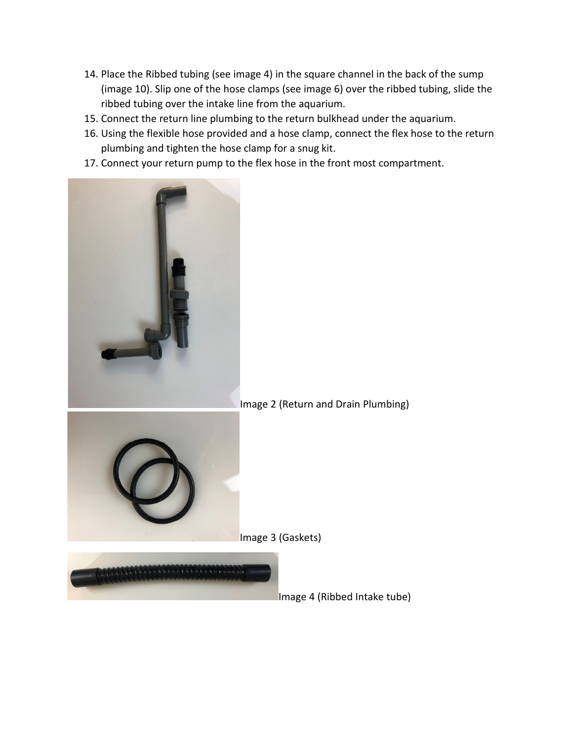- 14. Place the Ribbed tubing (see image 4) in the square channel in the back of the sump (image 10). Slip one of the hose clamps (see image 6) over the ribbed tubing, slide the ribbed tubing over the intake line from the aquarium.
- 15. Connect the return line plumbing to the return bulkhead under the aquarium.
- 16. Using the flexible hose provided and a hose clamp, connect the flex hose to the return plumbing and tighten the hose clamp for a snug kit.
- 17. Connect your return pump to the flex hose in the front most compartment.



## Image 2 (Return and Drain Plumbing)



Image 3 (Gaskets)



Image 4 (Ribbed Intake tube)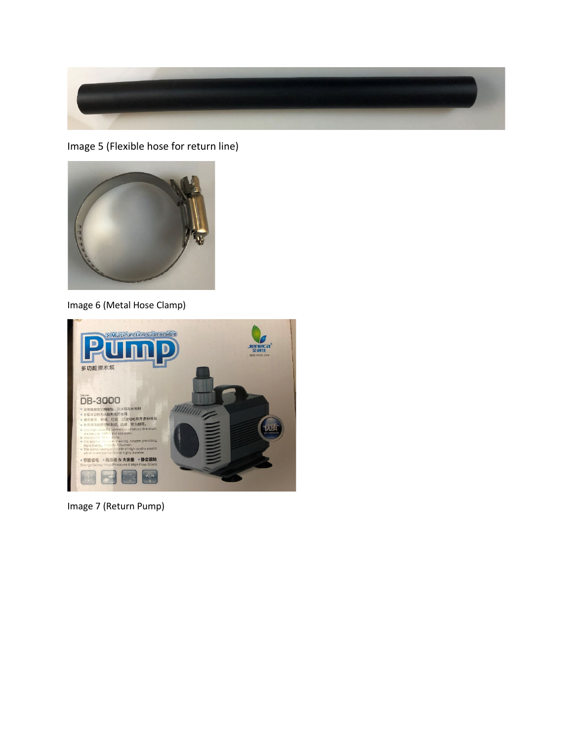

Image 5 (Flexible hose for return line)



Image 6 (Metal Hose Clamp)



Image 7 (Return Pump)